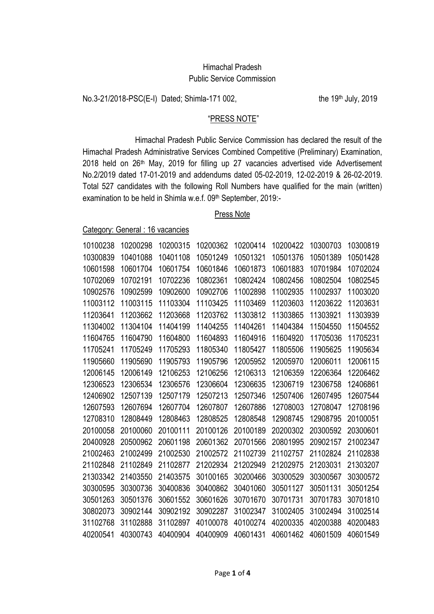## Himachal Pradesh Public Service Commission

No.3-21/2018-PSC(E-I) Dated; Shimla-171 002, the 19th July, 2019

## "PRESS NOTE"

Himachal Pradesh Public Service Commission has declared the result of the Himachal Pradesh Administrative Services Combined Competitive (Preliminary) Examination, 2018 held on 26th May, 2019 for filling up 27 vacancies advertised vide Advertisement No.2/2019 dated 17-01-2019 and addendums dated 05-02-2019, 12-02-2019 & 26-02-2019. Total 527 candidates with the following Roll Numbers have qualified for the main (written) examination to be held in Shimla w.e.f. 09th September, 2019:-

# Press Note

Category: General : 16 vacancies

| 10100238 | 10200298 | 10200315 | 10200362 | 10200414 | 10200422 | 10300703 | 10300819 |
|----------|----------|----------|----------|----------|----------|----------|----------|
| 10300839 | 10401088 | 10401108 | 10501249 | 10501321 | 10501376 | 10501389 | 10501428 |
| 10601598 | 10601704 | 10601754 | 10601846 | 10601873 | 10601883 | 10701984 | 10702024 |
| 10702069 | 10702191 | 10702236 | 10802361 | 10802424 | 10802456 | 10802504 | 10802545 |
| 10902576 | 10902599 | 10902600 | 10902706 | 11002898 | 11002935 | 11002937 | 11003020 |
| 11003112 | 11003115 | 11103304 | 11103425 | 11103469 | 11203603 | 11203622 | 11203631 |
| 11203641 | 11203662 | 11203668 | 11203762 | 11303812 | 11303865 | 11303921 | 11303939 |
| 11304002 | 11304104 | 11404199 | 11404255 | 11404261 | 11404384 | 11504550 | 11504552 |
| 11604765 | 11604790 | 11604800 | 11604893 | 11604916 | 11604920 | 11705036 | 11705231 |
| 11705241 | 11705249 | 11705293 | 11805340 | 11805427 | 11805506 | 11905625 | 11905634 |
| 11905660 | 11905690 | 11905793 | 11905796 | 12005952 | 12005970 | 12006011 | 12006115 |
| 12006145 | 12006149 | 12106253 | 12106256 | 12106313 | 12106359 | 12206364 | 12206462 |
| 12306523 | 12306534 | 12306576 | 12306604 | 12306635 | 12306719 | 12306758 | 12406861 |
| 12406902 | 12507139 | 12507179 | 12507213 | 12507346 | 12507406 | 12607495 | 12607544 |
| 12607593 | 12607694 | 12607704 | 12607807 | 12607886 | 12708003 | 12708047 | 12708196 |
| 12708310 | 12808449 | 12808463 | 12808525 | 12808548 | 12908745 | 12908795 | 20100051 |
| 20100058 | 20100060 | 20100111 | 20100126 | 20100189 | 20200302 | 20300592 | 20300601 |
| 20400928 | 20500962 | 20601198 | 20601362 | 20701566 | 20801995 | 20902157 | 21002347 |
| 21002463 | 21002499 | 21002530 | 21002572 | 21102739 | 21102757 | 21102824 | 21102838 |
| 21102848 | 21102849 | 21102877 | 21202934 | 21202949 | 21202975 | 21203031 | 21303207 |
| 21303342 | 21403550 | 21403575 | 30100165 | 30200466 | 30300529 | 30300567 | 30300572 |
| 30300595 | 30300736 | 30400836 | 30400862 | 30401060 | 30501127 | 30501131 | 30501254 |
| 30501263 | 30501376 | 30601552 | 30601626 | 30701670 | 30701731 | 30701783 | 30701810 |
| 30802073 | 30902144 | 30902192 | 30902287 | 31002347 | 31002405 | 31002494 | 31002514 |
| 31102768 | 31102888 | 31102897 | 40100078 | 40100274 | 40200335 | 40200388 | 40200483 |
| 40200541 | 40300743 | 40400904 | 40400909 | 40601431 | 40601462 | 40601509 | 40601549 |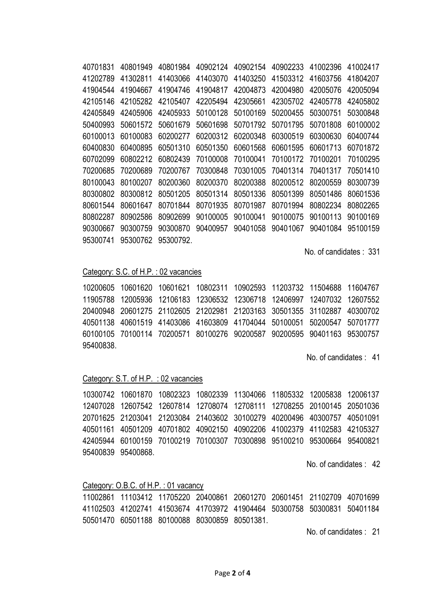40701831 40801949 40801984 40902124 40902154 40902233 41002396 41002417 41202789 41302811 41403066 41403070 41403250 41503312 41603756 41804207 41904544 41904667 41904746 41904817 42004873 42004980 42005076 42005094 42105146 42105282 42105407 42205494 42305661 42305702 42405778 42405802 42405849 42405906 42405933 50100128 50100169 50200455 50300751 50300848 50400993 50601572 50601679 50601698 50701792 50701795 50701808 60100002 60100013 60100083 60200277 60200312 60200348 60300519 60300630 60400744 60400830 60400895 60501310 60501350 60601568 60601595 60601713 60701872 60702099 60802212 60802439 70100008 70100041 70100172 70100201 70100295 70200685 70200689 70200767 70300848 70301005 70401314 70401317 70501410 80100043 80100207 80200360 80200370 80200388 80200512 80200559 80300739 80300802 80300812 80501205 80501314 80501336 80501399 80501486 80601536 80601544 80601647 80701844 80701935 80701987 80701994 80802234 80802265 80802287 80902586 80902699 90100005 90100041 90100075 90100113 90100169 90300667 90300759 90300870 90400957 90401058 90401067 90401084 95100159 95300741 95300762 95300792.

No. of candidates: 331

#### Category: S.C. of H.P. : 02 vacancies

10200605 10601620 10601621 10802311 10902593 11203732 11504688 11604767 11905788 12005936 12106183 12306532 12306718 12406997 12407032 12607552 20400948 20601275 21102605 21202981 21203163 30501355 31102887 40300702 40501138 40601519 41403086 41603809 41704044 50100051 50200547 50701777 60100105 70100114 70200571 80100276 90200587 90200595 90401163 95300757 95400838.

No. of candidates : 41

## Category: S.T. of H.P. : 02 vacancies

10300742 10601870 10802323 10802339 11304066 11805332 12005838 12006137 12407028 12607542 12607814 12708074 12708111 12708255 20100145 20501036 20701625 21203041 21203084 21403602 30100279 40200496 40300757 40501091 40501161 40501209 40701802 40902150 40902206 41002379 41102583 42105327 42405944 60100159 70100219 70100307 70300898 95100210 95300664 95400821 95400839 95400868

No. of candidates : 42

### Category: O.B.C. of H.P.: 01 vacancy

11002861 11103412 11705220 20400861 20601270 20601451 21102709 40701699 41102503 41202741 41503674 41703972 41904464 50300758 50300831 50401184 50501470 60501188 80100088 80300859 80501381.

No. of candidates : 21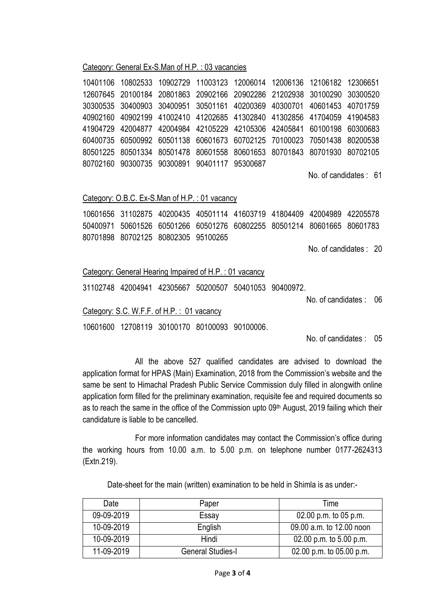### Category: General Ex-S.Man of H.P. : 03 vacancies

10401106 10802533 10902729 11003123 12006014 12006136 12106182 12306651 12607645 20100184 20801863 20902166 20902286 21202938 30100290 30300520 30300535 30400903 30400951 30501161 40200369 40300701 40601453 40701759 40902160 40902199 41002410 41202685 41302840 41302856 41704059 41904583 41904729 42004877 42004984 42105229 42105306 42405841 60100198 60300683 60400735 60500992 60501138 60601673 60702125 70100023 70501438 80200538 80501225 80501334 80501478 80601558 80601653 80701843 80701930 80702105 80702160 90300735 90300891 90401117 95300687

No. of candidates : 61

### Category: O.B.C. Ex-S.Man of H.P. : 01 vacancy

10601656 31102875 40200435 40501114 41603719 41804409 42004989 42205578 50400971 50601526 60501266 60501276 60802255 80501214 80601665 80601783 80701898 80702125 80802305 95100265

No. of candidates : 20

### Category: General Hearing Impaired of H.P. : 01 vacancy

31102748 42004941 42305667 50200507 50401053 90400972.

No. of candidates : 06

Category: S.C. W.F.F. of H.P. : 01 vacancy

10601600 12708119 30100170 80100093 90100006.

No. of candidates : 05

All the above 527 qualified candidates are advised to download the application format for HPAS (Main) Examination, 2018 from the Commission's website and the same be sent to Himachal Pradesh Public Service Commission duly filled in alongwith online application form filled for the preliminary examination, requisite fee and required documents so as to reach the same in the office of the Commission upto 09<sup>th</sup> August, 2019 failing which their candidature is liable to be cancelled.

For more information candidates may contact the Commission's office during the working hours from 10.00 a.m. to 5.00 p.m. on telephone number 0177-2624313 (Extn.219).

Date-sheet for the main (written) examination to be held in Shimla is as under:-

| Date       | Paper                    | Time                      |  |
|------------|--------------------------|---------------------------|--|
| 09-09-2019 | Essay                    | 02.00 p.m. to 05 p.m.     |  |
| 10-09-2019 | English                  | 09.00 a.m. to 12.00 noon  |  |
| 10-09-2019 | Hindi                    | 02.00 p.m. to $5.00$ p.m. |  |
| 11-09-2019 | <b>General Studies-I</b> | 02.00 p.m. to 05.00 p.m.  |  |